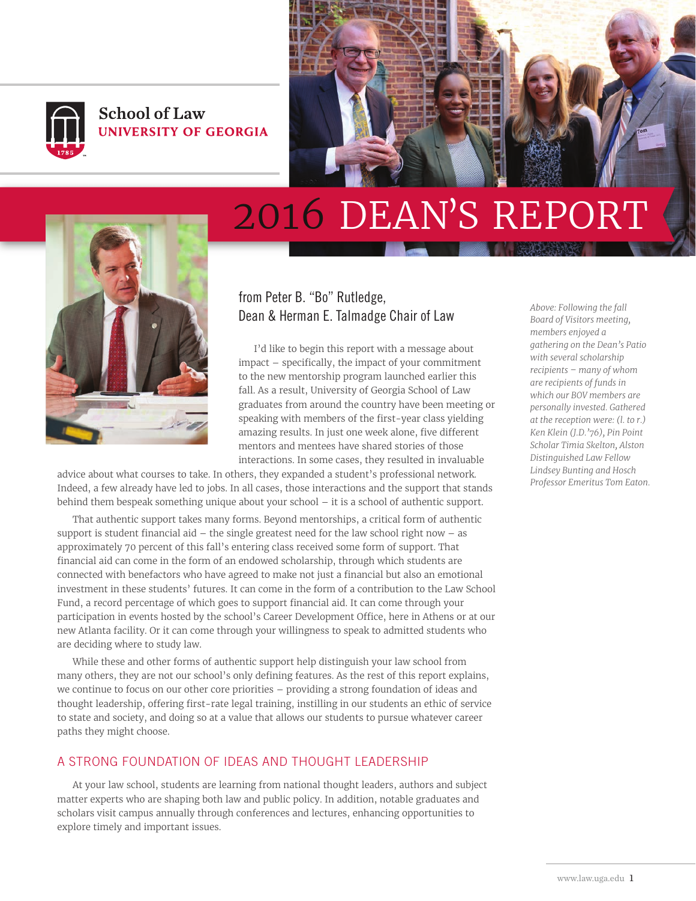

## **School of Law** UNIVERSITY OF GEORGIA



# 2016 DEAN'S REPORT



### from Peter B. "Bo" Rutledge, Dean & Herman E. Talmadge Chair of Law *Above: Following the fall*

I'd like to begin this report with a message about impact – specifically, the impact of your commitment to the new mentorship program launched earlier this fall. As a result, University of Georgia School of Law graduates from around the country have been meeting or speaking with members of the first-year class yielding amazing results. In just one week alone, five different mentors and mentees have shared stories of those interactions. In some cases, they resulted in invaluable

advice about what courses to take. In others, they expanded a student's professional network. Indeed, a few already have led to jobs. In all cases, those interactions and the support that stands behind them bespeak something unique about your school – it is a school of authentic support.

That authentic support takes many forms. Beyond mentorships, a critical form of authentic support is student financial aid  $-$  the single greatest need for the law school right now  $-$  as approximately 70 percent of this fall's entering class received some form of support. That financial aid can come in the form of an endowed scholarship, through which students are connected with benefactors who have agreed to make not just a financial but also an emotional investment in these students' futures. It can come in the form of a contribution to the Law School Fund, a record percentage of which goes to support financial aid. It can come through your participation in events hosted by the school's Career Development Office, here in Athens or at our new Atlanta facility. Or it can come through your willingness to speak to admitted students who are deciding where to study law.

While these and other forms of authentic support help distinguish your law school from many others, they are not our school's only defining features. As the rest of this report explains, we continue to focus on our other core priorities – providing a strong foundation of ideas and thought leadership, offering first-rate legal training, instilling in our students an ethic of service to state and society, and doing so at a value that allows our students to pursue whatever career paths they might choose.

#### A STRONG FOUNDATION OF IDEAS AND THOUGHT LEADERSHIP

At your law school, students are learning from national thought leaders, authors and subject matter experts who are shaping both law and public policy. In addition, notable graduates and scholars visit campus annually through conferences and lectures, enhancing opportunities to explore timely and important issues.

*Board of Visitors meeting, members enjoyed a gathering on the Dean's Patio with several scholarship recipients – many of whom are recipients of funds in which our BOV members are personally invested. Gathered at the reception were: (l. to r.) Ken Klein (J.D.'76), Pin Point Scholar Timia Skelton, Alston Distinguished Law Fellow Lindsey Bunting and Hosch Professor Emeritus Tom Eaton.*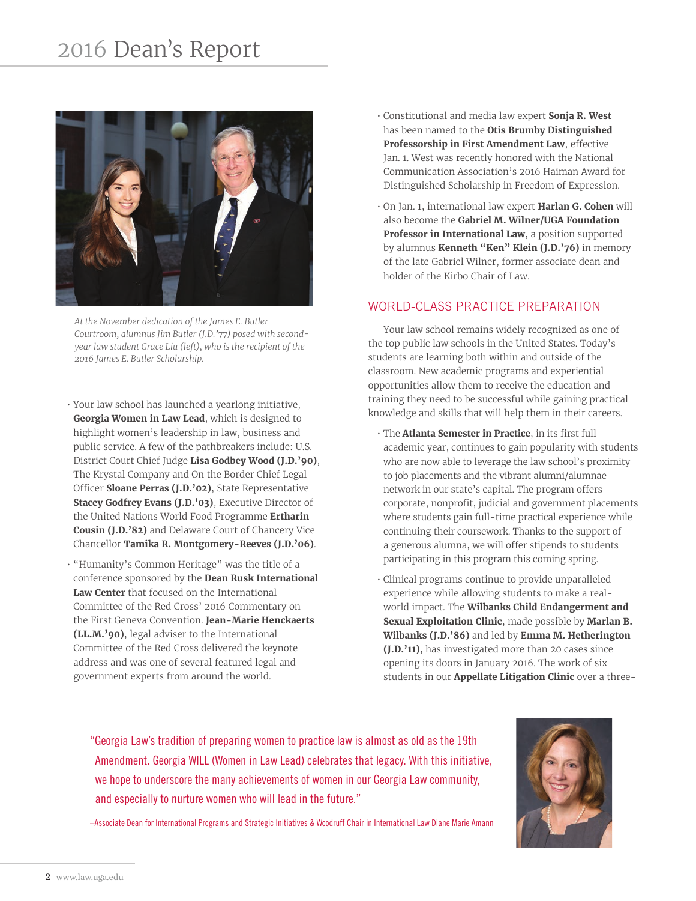# 2016 Dean's Report



*At the November dedication of the James E. Butler Courtroom, alumnus Jim Butler (J.D.'77) posed with secondyear law student Grace Liu (left), who is the recipient of the 2016 James E. Butler Scholarship.*

- Your law school has launched a yearlong initiative, **Georgia Women in Law Lead**, which is designed to highlight women's leadership in law, business and public service. A few of the pathbreakers include: U.S. District Court Chief Judge **Lisa Godbey Wood (J.D.'90)**, The Krystal Company and On the Border Chief Legal Officer **Sloane Perras (J.D.'02)**, State Representative **Stacey Godfrey Evans (J.D.'03)**, Executive Director of the United Nations World Food Programme **Ertharin Cousin (J.D.'82)** and Delaware Court of Chancery Vice Chancellor **Tamika R. Montgomery-Reeves (J.D.'06)**.
- "Humanity's Common Heritage" was the title of a conference sponsored by the **Dean Rusk International Law Center** that focused on the International Committee of the Red Cross' 2016 Commentary on the First Geneva Convention. **Jean-Marie Henckaerts (LL.M.'90)**, legal adviser to the International Committee of the Red Cross delivered the keynote address and was one of several featured legal and government experts from around the world.
- Constitutional and media law expert **Sonja R. West** has been named to the **Otis Brumby Distinguished Professorship in First Amendment Law**, effective Jan. 1. West was recently honored with the National Communication Association's 2016 Haiman Award for Distinguished Scholarship in Freedom of Expression.
- On Jan. 1, international law expert **Harlan G. Cohen** will also become the **Gabriel M. Wilner/UGA Foundation Professor in International Law**, a position supported by alumnus **Kenneth "Ken" Klein (J.D.'76)** in memory of the late Gabriel Wilner, former associate dean and holder of the Kirbo Chair of Law.

#### WORLD-CLASS PRACTICE PREPARATION

Your law school remains widely recognized as one of the top public law schools in the United States. Today's students are learning both within and outside of the classroom. New academic programs and experiential opportunities allow them to receive the education and training they need to be successful while gaining practical knowledge and skills that will help them in their careers.

- The **Atlanta Semester in Practice**, in its first full academic year, continues to gain popularity with students who are now able to leverage the law school's proximity to job placements and the vibrant alumni/alumnae network in our state's capital. The program offers corporate, nonprofit, judicial and government placements where students gain full-time practical experience while continuing their coursework. Thanks to the support of a generous alumna, we will offer stipends to students participating in this program this coming spring.
- Clinical programs continue to provide unparalleled experience while allowing students to make a realworld impact. The **Wilbanks Child Endangerment and Sexual Exploitation Clinic**, made possible by **Marlan B. Wilbanks (J.D.'86)** and led by **Emma M. Hetherington (J.D.'11)**, has investigated more than 20 cases since opening its doors in January 2016. The work of six students in our **Appellate Litigation Clinic** over a three-

"Georgia Law's tradition of preparing women to practice law is almost as old as the 19th Amendment. Georgia WILL (Women in Law Lead) celebrates that legacy. With this initiative, we hope to underscore the many achievements of women in our Georgia Law community, and especially to nurture women who will lead in the future."



–Associate Dean for International Programs and Strategic Initiatives & Woodruff Chair in International Law Diane Marie Amann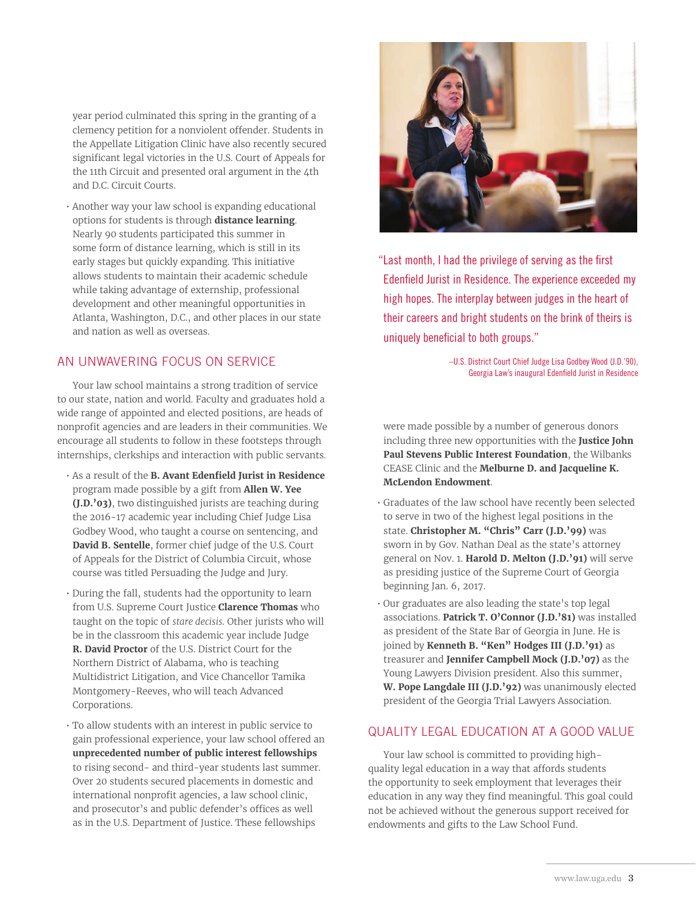year period culminated this spring in the granting of a clemency petition for a nonviolent offender. Students in the Appellate Litigation Clinic have also recently secured significant legal victories in the U.S. Court of Appeals for the 11th Circuit and presented oral argument in the  $\Delta$ th and D.C. Circuit Courts.

• Another way your law school is expanding educational options for students is through **distance learning**. Nearly 90 students participated this summer in some form of distance learning, which is still in its early stages but quickly expanding. This initiative allows students to maintain their academic schedule while taking advantage of externship, professional development and other meaningful opportunities in Atlanta, Washington, D.C., and other places in our state and nation as well as overseas.

#### AN UNWAVERING FOCUS ON SERVICE

Your law school maintains a strong tradition of service to our state, nation and world. Faculty and graduates hold a wide range of appointed and elected positions, are heads of nonprofit agencies and are leaders in their communities. We encourage all students to follow in these footsteps through internships, clerkships and interaction with public servants.

- As a result of the **B. Avant Edenfield Jurist in Residence** program made possible by a gift from **Allen W. Yee (J.D.'03)**, two distinguished jurists are teaching during the 2016-17 academic year including Chief Judge Lisa Godbey Wood, who taught a course on sentencing, and **David B. Sentelle**, former chief judge of the U.S. Court of Appeals for the District of Columbia Circuit, whose course was titled Persuading the Judge and Jury.
- During the fall, students had the opportunity to learn from U.S. Supreme Court Justice **Clarence Thomas** who taught on the topic of *stare decisis*. Other jurists who will be in the classroom this academic year include Judge **R. David Proctor** of the U.S. District Court for the Northern District of Alabama, who is teaching Multidistrict Litigation, and Vice Chancellor Tamika Montgomery-Reeves, who will teach Advanced Corporations.
- To allow students with an interest in public service to gain professional experience, your law school offered an **unprecedented number of public interest fellowships** to rising second- and third-year students last summer. Over 20 students secured placements in domestic and international nonprofit agencies, a law school clinic, and prosecutor's and public defender's offices as well as in the U.S. Department of Justice. These fellowships



"Last month, I had the privilege of serving as the first Edenfield Jurist in Residence. The experience exceeded my high hopes. The interplay between judges in the heart of their careers and bright students on the brink of theirs is uniquely beneficial to both groups."

> –U.S. District Court Chief Judge Lisa Godbey Wood (J.D.'90), Georgia Law's inaugural Edenfield Jurist in Residence

were made possible by a number of generous donors including three new opportunities with the **Justice John Paul Stevens Public Interest Foundation**, the Wilbanks CEASE Clinic and the **Melburne D. and Jacqueline K. McLendon Endowment**.

- Graduates of the law school have recently been selected to serve in two of the highest legal positions in the state. **Christopher M. "Chris" Carr (J.D.'99)** was sworn in by Gov. Nathan Deal as the state's attorney general on Nov. 1. **Harold D. Melton (J.D.'91)** will serve as presiding justice of the Supreme Court of Georgia beginning Jan. 6, 2017.
- Our graduates are also leading the state's top legal associations. **Patrick T. O'Connor (J.D.'81)** was installed as president of the State Bar of Georgia in June. He is joined by **Kenneth B. "Ken" Hodges III (J.D.'91)** as treasurer and **Jennifer Campbell Mock (J.D.'07)** as the Young Lawyers Division president. Also this summer, **W. Pope Langdale III (J.D.'92)** was unanimously elected president of the Georgia Trial Lawyers Association.

#### QUALITY LEGAL EDUCATION AT A GOOD VALUE

Your law school is committed to providing highquality legal education in a way that affords students the opportunity to seek employment that leverages their education in any way they find meaningful. This goal could not be achieved without the generous support received for endowments and gifts to the Law School Fund.